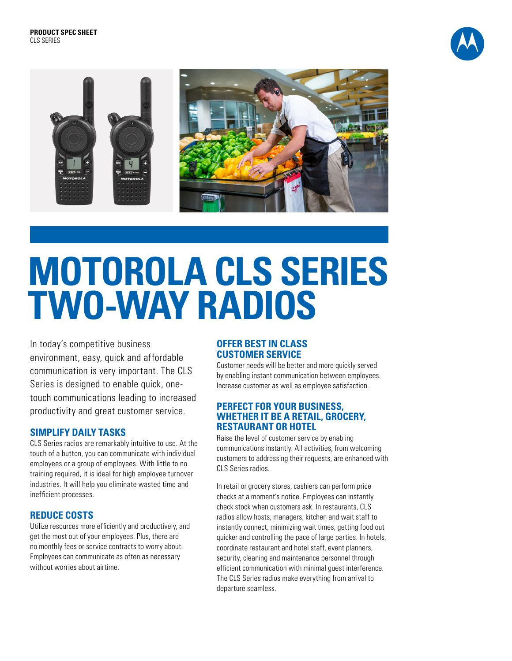



# **MOTOROLA CLS SERIES TWO-WAY RADIOs**

In today's competitive business environment, easy, quick and affordable communication is very important. The CLS Series is designed to enable quick, onetouch communications leading to increased productivity and great customer service.

## **SIMPLIFY DAILY TASKS**

CLS Series radios are remarkably intuitive to use. At the touch of a button, you can communicate with individual employees or a group of employees. With little to no training required, it is ideal for high employee turnover industries. It will help you eliminate wasted time and inefficient processes.

## **REDUCE COSTS**

Utilize resources more efficiently and productively, and get the most out of your employees. Plus, there are no monthly fees or service contracts to worry about. Employees can communicate as often as necessary without worries about airtime.

#### **OFFER BEST IN CLASS CUSTOMER SERVICE**

Customer needs will be better and more quickly served by enabling instant communication between employees. Increase customer as well as employee satisfaction.

#### **PERFECT FOR YOUR business, WHETHER IT BE A RETAIL, GROCERY, RESTAURANT OR HOTEL**

Raise the level of customer service by enabling communications instantly. All activities, from welcoming customers to addressing their requests, are enhanced with CLS Series radios.

In retail or grocery stores, cashiers can perform price checks at a moment's notice. Employees can instantly check stock when customers ask. In restaurants, CLS radios allow hosts, managers, kitchen and wait staff to instantly connect, minimizing wait times, getting food out quicker and controlling the pace of large parties. In hotels, coordinate restaurant and hotel staff, event planners, security, cleaning and maintenance personnel through efficient communication with minimal guest interference. The CLS Series radios make everything from arrival to departure seamless.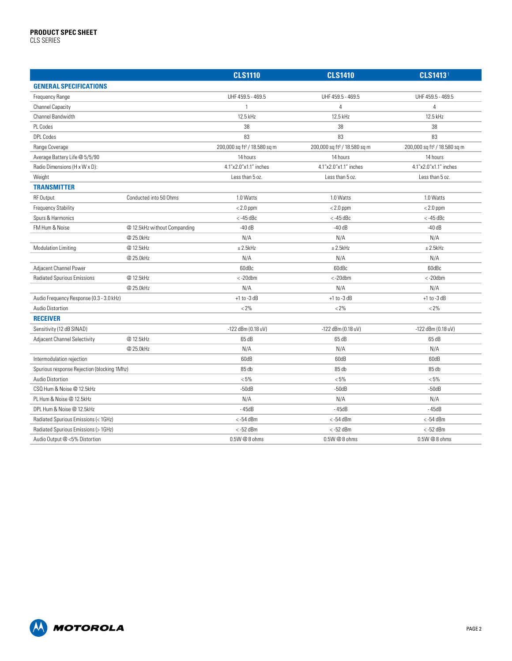|                                             |                              | <b>CLS1110</b>                           | <b>CLS1410</b>                           | <b>CLS14131</b>                          |  |
|---------------------------------------------|------------------------------|------------------------------------------|------------------------------------------|------------------------------------------|--|
| <b>GENERAL SPECIFICATIONS</b>               |                              |                                          |                                          |                                          |  |
| Frequency Range                             |                              | UHF 459.5 - 469.5                        | UHF 459.5 - 469.5                        | UHF 459.5 - 469.5                        |  |
| <b>Channel Capacity</b>                     |                              | $\mathbf 1$                              | 4                                        | 4                                        |  |
| Channel Bandwidth                           |                              | 12.5 kHz                                 | 12.5 kHz                                 | 12.5 kHz                                 |  |
| PL Codes                                    |                              | 38                                       | 38                                       | 38                                       |  |
| <b>DPL Codes</b>                            |                              | 83                                       | 83                                       | 83                                       |  |
| Range Coverage                              |                              | 200,000 sq ft <sup>2</sup> / 18.580 sq m | 200,000 sq ft <sup>2</sup> / 18.580 sq m | 200,000 sq ft <sup>2</sup> / 18.580 sq m |  |
| Average Battery Life @ 5/5/90               |                              | 14 hours                                 | 14 hours                                 | 14 hours                                 |  |
| Radio Dimensions (H x W x D):               |                              | 4.1"x2.0"x1.1" inches                    | 4.1"x2.0"x1.1" inches                    | 4.1"x2.0"x1.1" inches                    |  |
| Weight                                      |                              | Less than 5 oz.                          | Less than 5 oz.                          | Less than 5 oz.                          |  |
| <b>TRANSMITTER</b>                          |                              |                                          |                                          |                                          |  |
| <b>RF Output</b>                            | Conducted into 50 Ohms       | 1.0 Watts                                | 1.0 Watts                                | 1.0 Watts                                |  |
| <b>Frequency Stability</b>                  |                              | $< 2.0$ ppm                              | $< 2.0$ ppm                              | $< 2.0$ ppm                              |  |
| Spurs & Harmonics                           |                              | $<$ -45 dBc                              | $< -45$ dBc                              | $<$ -45 dBc                              |  |
| FM Hum & Noise                              | @ 12.5kHz without Companding | $-40dB$                                  | $-40dB$                                  | $-40dB$                                  |  |
|                                             | @ 25.0kHz                    | N/A                                      | N/A                                      | N/A                                      |  |
| Modulation Limiting                         | @ 12.5kHz                    | ± 2.5kHz                                 | ± 2.5kHz                                 | ± 2.5kHz                                 |  |
|                                             | @ 25.0kHz                    | N/A                                      | N/A                                      | N/A                                      |  |
| Adjacent Channel Power                      |                              | 60dBc                                    | 60dBc                                    | 60dBc                                    |  |
| <b>Radiated Spurious Emissions</b>          | @12.5kHz                     | $< -20$ dbm                              | $< -20$ dbm                              | $< -20$ dbm                              |  |
|                                             | @25.0kHz                     | N/A                                      | N/A                                      | N/A                                      |  |
| Audio Frequency Response (0.3 - 3.0 kHz)    |                              | $+1$ to -3 dB                            | $+1$ to -3 dB                            | $+1$ to -3 dB                            |  |
| Audio Distortion                            |                              | $< 2\%$                                  | $< 2\%$                                  | $< 2\%$                                  |  |
| <b>RECEIVER</b>                             |                              |                                          |                                          |                                          |  |
| Sensitivity (12 dB SINAD)                   |                              | -122 dBm (0.18 uV)                       | -122 dBm (0.18 uV)                       | -122 dBm (0.18 uV)                       |  |
| <b>Adjacent Channel Selectivity</b>         | @ 12.5kHz                    | 65 dB                                    | 65 dB                                    | 65 dB                                    |  |
|                                             | @ 25.0kHz                    | N/A                                      | N/A                                      | N/A                                      |  |
| Intermodulation rejection                   |                              | 60dB                                     | 60dB                                     | 60dB                                     |  |
| Spurious response Rejection (blocking 1Mhz) |                              | 85 db                                    | 85 db                                    | 85 db                                    |  |
| Audio Distortion                            |                              | $< 5\%$                                  | < 5%                                     | $< 5\%$                                  |  |
| CSQ Hum & Noise @ 12.5kHz                   |                              | $-50dB$                                  | $-50dB$                                  | $-50dB$                                  |  |
| PL Hum & Noise @ 12.5kHz                    |                              | N/A                                      | N/A                                      | N/A                                      |  |
| DPL Hum & Noise @ 12.5kHz                   |                              | $-45dB$                                  | $-45dB$                                  | $-45dB$                                  |  |
| Radiated Spurious Emissions (< 1GHz)        |                              | $<$ -54 dBm                              | $<$ -54 dBm                              | $<$ -54 dBm                              |  |
| Radiated Spurious Emissions (> 1GHz)        |                              | $<$ -52 dBm                              | $<$ -52 dBm                              | $<$ -52 dBm                              |  |
| Audio Output @ <5% Distortion               |                              | $0.5W@8$ ohms                            | $0.5W@8$ ohms                            | $0.5W@8$ ohms                            |  |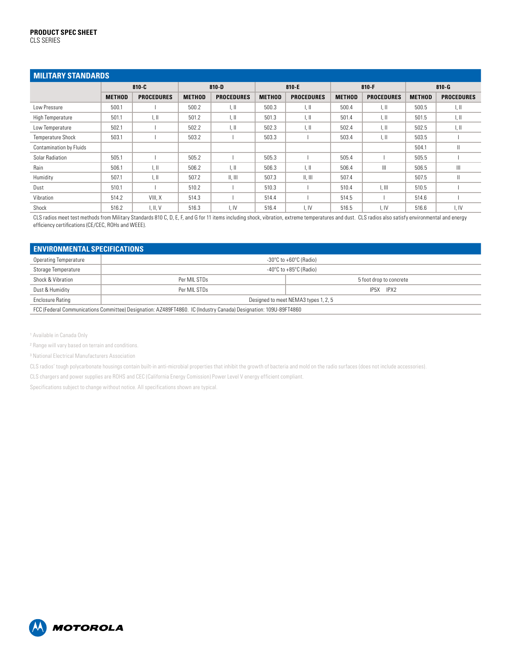# **MILITARY STANDARDS**

| - MILLIANT STANDANDS           |               |                           |               |                           |               |                           |               |                           |               |                           |
|--------------------------------|---------------|---------------------------|---------------|---------------------------|---------------|---------------------------|---------------|---------------------------|---------------|---------------------------|
|                                | $810 - C$     |                           | $810 - D$     |                           | 810-E         |                           | $810-F$       |                           | $810-G$       |                           |
|                                | <b>METHOD</b> | <b>PROCEDURES</b>         | <b>METHOD</b> | <b>PROCEDURES</b>         | <b>METHOD</b> | <b>PROCEDURES</b>         | <b>METHOD</b> | <b>PROCEDURES</b>         | <b>METHOD</b> | <b>PROCEDURES</b>         |
| Low Pressure                   | 500.1         |                           | 500.2         | $\parallel$ , $\parallel$ | 500.3         | $\parallel$ , $\parallel$ | 500.4         | I, II                     | 500.5         | $\parallel$ , $\parallel$ |
| High Temperature               | 501.1         | $\parallel$ , $\parallel$ | 501.2         | $\parallel$ , $\parallel$ | 501.3         | I, II                     | 501.4         | $\parallel$ , $\parallel$ | 501.5         | T, II                     |
| Low Temperature                | 502.1         |                           | 502.2         | l. II                     | 502.3         | l, II                     | 502.4         | I, II                     | 502.5         | T, II                     |
| <b>Temperature Shock</b>       | 503.1         |                           | 503.2         |                           | 503.3         |                           | 503.4         | I, II                     | 503.5         |                           |
| <b>Contamination by Fluids</b> |               |                           |               |                           |               |                           |               |                           | 504.1         |                           |
| Solar Radiation                | 505.1         |                           | 505.2         |                           | 505.3         |                           | 505.4         |                           | 505.5         |                           |
| Rain                           | 506.1         | $\parallel$ , $\parallel$ | 506.2         | l. II                     | 506.3         | l, II                     | 506.4         | $\mathbf{III}$            | 506.5         | Ш                         |
| Humidity                       | 507.1         | $\parallel$ , $\parallel$ | 507.2         | II, III                   | 507.3         | II, III                   | 507.4         |                           | 507.5         |                           |
| Dust                           | 510.1         |                           | 510.2         |                           | 510.3         |                           | 510.4         | $L$ III                   | 510.5         |                           |
| Vibration                      | 514.2         | VIII. X                   | 514.3         |                           | 514.4         |                           | 514.5         |                           | 514.6         |                           |
| Shock                          | 516.2         | 1, II, V                  | 516.3         | I, IV                     | 516.4         | I, IV                     | 516.5         | I, IV                     | 516.6         | I, IV                     |

CLS radios meet test methods from Military Standards 810 C, D, E, F, and G for 11 items including shock, vibration, extreme temperatures and dust. CLS radios also satisfy environmental and energy efficiency certifications (CE/CEC, ROHs and WEEE).

| <b>ENVIRONMENTAL SPECIFICATIONS</b>                                                                              |                                            |                         |  |  |  |  |  |
|------------------------------------------------------------------------------------------------------------------|--------------------------------------------|-------------------------|--|--|--|--|--|
| <b>Operating Temperature</b>                                                                                     | $-30^{\circ}$ C to $+60^{\circ}$ C (Radio) |                         |  |  |  |  |  |
| Storage Temperature                                                                                              | $-40^{\circ}$ C to $+85^{\circ}$ C (Radio) |                         |  |  |  |  |  |
| Shock & Vibration                                                                                                | Per MIL STDs                               | 5 foot drop to concrete |  |  |  |  |  |
| Dust & Humidity                                                                                                  | Per MIL STDs                               | IP5X IPX2               |  |  |  |  |  |
| <b>Enclosure Rating</b>                                                                                          | Designed to meet NEMA3 types 1, 2, 5       |                         |  |  |  |  |  |
| FCC (Federal Communications Committee) Designation: AZ489FT4860. IC (Industry Canada) Designation: 109U-89FT4860 |                                            |                         |  |  |  |  |  |

<sup>1</sup> Available in Canada Only

² Range will vary based on terrain and conditions.

³ National Electrical Manufacturers Association

CLS radios' tough polycarbonate housings contain built-in anti-microbial properties that inhibit the growth of bacteria and mold on the radio surfaces (does not include accessories).

CLS chargers and power supplies are ROHS and CEC (California Energy Comission) Power Level V energy efficient compliant.

Specifications subject to change without notice. All specifications shown are typical.